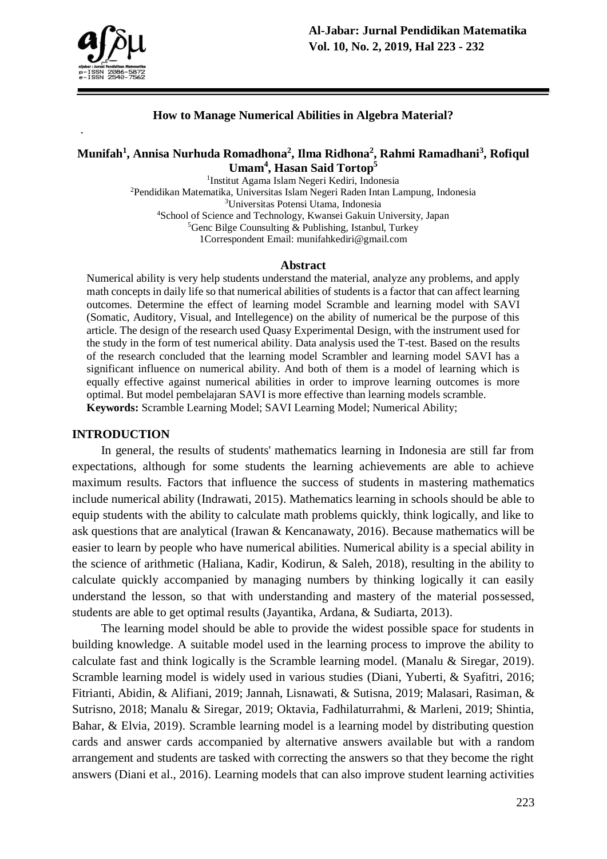

### **How to Manage Numerical Abilities in Algebra Material?**

## **Munifah<sup>1</sup> , Annisa Nurhuda Romadhona<sup>2</sup> , Ilma Ridhona<sup>2</sup> , Rahmi Ramadhani<sup>3</sup> , Rofiqul Umam<sup>4</sup> , Hasan Said Tortop<sup>5</sup>**

 Institut Agama Islam Negeri Kediri, Indonesia Pendidikan Matematika, Universitas Islam Negeri Raden Intan Lampung, Indonesia Universitas Potensi Utama, Indonesia School of Science and Technology, Kwansei Gakuin University, Japan  ${}^{5}$ Genc Bilge Counsulting & Publishing, Istanbul, Turkey 1Correspondent Email: munifahkediri@gmail.com

#### **Abstract**

Numerical ability is very help students understand the material, analyze any problems, and apply math concepts in daily life so that numerical abilities of students is a factor that can affect learning outcomes. Determine the effect of learning model Scramble and learning model with SAVI (Somatic, Auditory, Visual, and Intellegence) on the ability of numerical be the purpose of this article. The design of the research used Quasy Experimental Design, with the instrument used for the study in the form of test numerical ability. Data analysis used the T-test. Based on the results of the research concluded that the learning model Scrambler and learning model SAVI has a significant influence on numerical ability. And both of them is a model of learning which is equally effective against numerical abilities in order to improve learning outcomes is more optimal. But model pembelajaran SAVI is more effective than learning models scramble. **Keywords:** Scramble Learning Model; SAVI Learning Model; Numerical Ability;

#### **INTRODUCTION**

In general, the results of students' mathematics learning in Indonesia are still far from expectations, although for some students the learning achievements are able to achieve maximum results. Factors that influence the success of students in mastering mathematics include numerical ability (Indrawati, 2015). Mathematics learning in schools should be able to equip students with the ability to calculate math problems quickly, think logically, and like to ask questions that are analytical (Irawan & Kencanawaty, 2016). Because mathematics will be easier to learn by people who have numerical abilities. Numerical ability is a special ability in the science of arithmetic (Haliana, Kadir, Kodirun, & Saleh, 2018), resulting in the ability to calculate quickly accompanied by managing numbers by thinking logically it can easily understand the lesson, so that with understanding and mastery of the material possessed, students are able to get optimal results (Jayantika, Ardana, & Sudiarta, 2013).

The learning model should be able to provide the widest possible space for students in building knowledge. A suitable model used in the learning process to improve the ability to calculate fast and think logically is the Scramble learning model. (Manalu & Siregar, 2019). Scramble learning model is widely used in various studies (Diani, Yuberti, & Syafitri, 2016; Fitrianti, Abidin, & Alifiani, 2019; Jannah, Lisnawati, & Sutisna, 2019; Malasari, Rasiman, & Sutrisno, 2018; Manalu & Siregar, 2019; Oktavia, Fadhilaturrahmi, & Marleni, 2019; Shintia, Bahar, & Elvia, 2019). Scramble learning model is a learning model by distributing question cards and answer cards accompanied by alternative answers available but with a random arrangement and students are tasked with correcting the answers so that they become the right answers (Diani et al., 2016). Learning models that can also improve student learning activities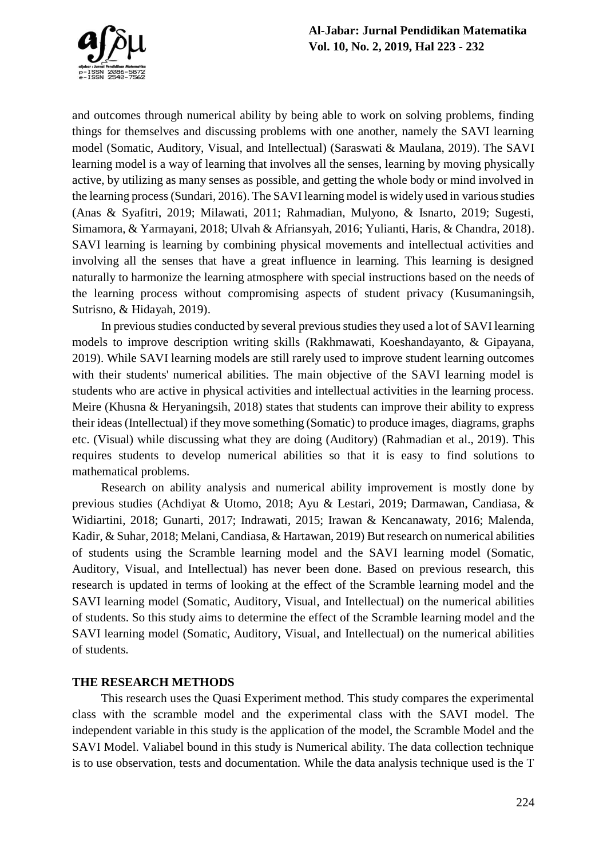and outcomes through numerical ability by being able to work on solving problems, finding things for themselves and discussing problems with one another, namely the SAVI learning model (Somatic, Auditory, Visual, and Intellectual) (Saraswati & Maulana, 2019). The SAVI learning model is a way of learning that involves all the senses, learning by moving physically active, by utilizing as many senses as possible, and getting the whole body or mind involved in the learning process(Sundari, 2016). The SAVI learning model is widely used in various studies (Anas & Syafitri, 2019; Milawati, 2011; Rahmadian, Mulyono, & Isnarto, 2019; Sugesti, Simamora, & Yarmayani, 2018; Ulvah & Afriansyah, 2016; Yulianti, Haris, & Chandra, 2018). SAVI learning is learning by combining physical movements and intellectual activities and involving all the senses that have a great influence in learning. This learning is designed naturally to harmonize the learning atmosphere with special instructions based on the needs of the learning process without compromising aspects of student privacy (Kusumaningsih, Sutrisno, & Hidayah, 2019).

In previous studies conducted by several previous studies they used a lot of SAVI learning models to improve description writing skills (Rakhmawati, Koeshandayanto, & Gipayana, 2019). While SAVI learning models are still rarely used to improve student learning outcomes with their students' numerical abilities. The main objective of the SAVI learning model is students who are active in physical activities and intellectual activities in the learning process. Meire (Khusna & Heryaningsih, 2018) states that students can improve their ability to express their ideas (Intellectual) if they move something (Somatic) to produce images, diagrams, graphs etc. (Visual) while discussing what they are doing (Auditory) (Rahmadian et al., 2019). This requires students to develop numerical abilities so that it is easy to find solutions to mathematical problems.

Research on ability analysis and numerical ability improvement is mostly done by previous studies (Achdiyat & Utomo, 2018; Ayu & Lestari, 2019; Darmawan, Candiasa, & Widiartini, 2018; Gunarti, 2017; Indrawati, 2015; Irawan & Kencanawaty, 2016; Malenda, Kadir, & Suhar, 2018; Melani, Candiasa, & Hartawan, 2019) But research on numerical abilities of students using the Scramble learning model and the SAVI learning model (Somatic, Auditory, Visual, and Intellectual) has never been done. Based on previous research, this research is updated in terms of looking at the effect of the Scramble learning model and the SAVI learning model (Somatic, Auditory, Visual, and Intellectual) on the numerical abilities of students. So this study aims to determine the effect of the Scramble learning model and the SAVI learning model (Somatic, Auditory, Visual, and Intellectual) on the numerical abilities of students.

### **THE RESEARCH METHODS**

This research uses the Quasi Experiment method. This study compares the experimental class with the scramble model and the experimental class with the SAVI model. The independent variable in this study is the application of the model, the Scramble Model and the SAVI Model. Valiabel bound in this study is Numerical ability. The data collection technique is to use observation, tests and documentation. While the data analysis technique used is the T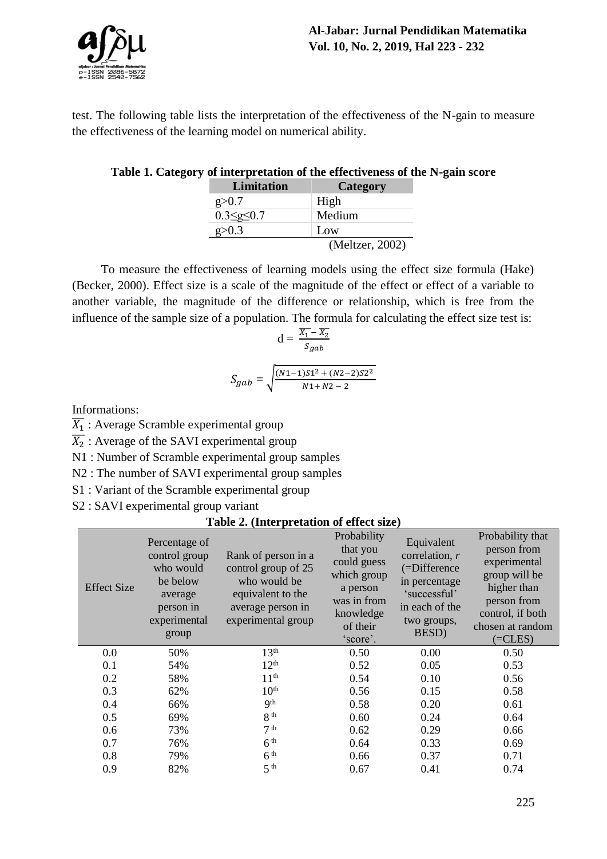

test. The following table lists the interpretation of the effectiveness of the N-gain to measure the effectiveness of the learning model on numerical ability.

### **Table 1. Category of interpretation of the effectiveness of the N-gain score**

| <b>Limitation</b>     | <b>Category</b> |
|-----------------------|-----------------|
| g > 0.7               | High            |
| $0.3 \leq g \leq 0.7$ | Medium          |
| g > 0.3               | Low             |
|                       | (Meltzer, 2002) |

To measure the effectiveness of learning models using the effect size formula (Hake) (Becker, 2000). Effect size is a scale of the magnitude of the effect or effect of a variable to another variable, the magnitude of the difference or relationship, which is free from the influence of the sample size of a population. The formula for calculating the effect size test is:

$$
d = \frac{\overline{X_1} - \overline{X_2}}{S_{gab}}
$$

$$
S_{gab} = \sqrt{\frac{(N1 - 1)S1^2 + (N2 - 2)S2^2}{N1 + N2 - 2}}
$$

Informations:

 $\overline{X_1}$  : Average Scramble experimental group

 $\overline{X_2}$  : Average of the SAVI experimental group

N1 : Number of Scramble experimental group samples

N2 : The number of SAVI experimental group samples

S1 : Variant of the Scramble experimental group

S2 : SAVI experimental group variant

#### **Table 2. (Interpretation of effect size)**

| <b>Effect Size</b> | Percentage of<br>control group<br>who would<br>be below<br>average<br>person in<br>experimental<br>group | Rank of person in a<br>control group of 25<br>who would be<br>equivalent to the<br>average person in<br>experimental group | Probability<br>that you<br>could guess<br>which group<br>a person<br>was in from<br>knowledge<br>of their<br>'score'. | Equivalent<br>correlation, r<br>(=Difference<br>in percentage<br>'successful'<br>in each of the<br>two groups,<br>BESD) | Probability that<br>person from<br>experimental<br>group will be<br>higher than<br>person from<br>control, if both<br>chosen at random<br>$(=CLES)$ |
|--------------------|----------------------------------------------------------------------------------------------------------|----------------------------------------------------------------------------------------------------------------------------|-----------------------------------------------------------------------------------------------------------------------|-------------------------------------------------------------------------------------------------------------------------|-----------------------------------------------------------------------------------------------------------------------------------------------------|
| 0.0                | 50%                                                                                                      | 13 <sup>th</sup>                                                                                                           | 0.50                                                                                                                  | 0.00                                                                                                                    | 0.50                                                                                                                                                |
| 0.1                | 54%                                                                                                      | 12 <sup>th</sup>                                                                                                           | 0.52                                                                                                                  | 0.05                                                                                                                    | 0.53                                                                                                                                                |
| 0.2                | 58%                                                                                                      | 11 <sup>th</sup>                                                                                                           | 0.54                                                                                                                  | 0.10                                                                                                                    | 0.56                                                                                                                                                |
| 0.3                | 62%                                                                                                      | 10 <sup>th</sup>                                                                                                           | 0.56                                                                                                                  | 0.15                                                                                                                    | 0.58                                                                                                                                                |
| 0.4                | 66%                                                                                                      | 9 <sup>th</sup>                                                                                                            | 0.58                                                                                                                  | 0.20                                                                                                                    | 0.61                                                                                                                                                |
| 0.5                | 69%                                                                                                      | 8 <sup>th</sup>                                                                                                            | 0.60                                                                                                                  | 0.24                                                                                                                    | 0.64                                                                                                                                                |
| 0.6                | 73%                                                                                                      | 7 <sup>th</sup>                                                                                                            | 0.62                                                                                                                  | 0.29                                                                                                                    | 0.66                                                                                                                                                |
| 0.7                | 76%                                                                                                      | 6 <sup>th</sup>                                                                                                            | 0.64                                                                                                                  | 0.33                                                                                                                    | 0.69                                                                                                                                                |
| 0.8                | 79%                                                                                                      | 6 <sup>th</sup>                                                                                                            | 0.66                                                                                                                  | 0.37                                                                                                                    | 0.71                                                                                                                                                |
| 0.9                | 82%                                                                                                      | 5 <sup>th</sup>                                                                                                            | 0.67                                                                                                                  | 0.41                                                                                                                    | 0.74                                                                                                                                                |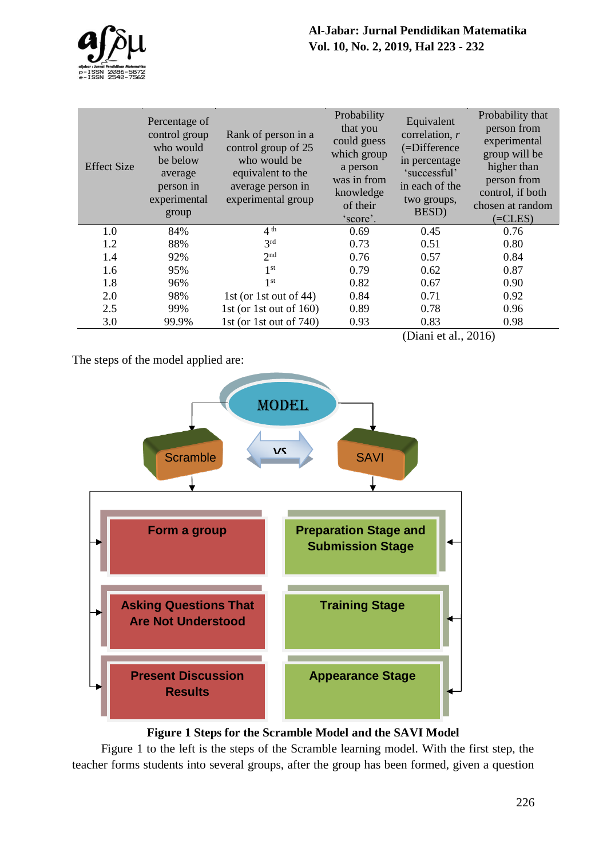

| <b>Effect Size</b> | Percentage of<br>control group<br>who would<br>be below<br>average<br>person in<br>experimental<br>group | Rank of person in a<br>control group of 25<br>who would be<br>equivalent to the<br>average person in<br>experimental group | Probability<br>that you<br>could guess<br>which group<br>a person<br>was in from<br>knowledge<br>of their<br>'score'. | Equivalent<br>correlation, r<br>(=Difference<br>in percentage<br>'successful'<br>in each of the<br>two groups,<br>BESD) | Probability that<br>person from<br>experimental<br>group will be<br>higher than<br>person from<br>control, if both<br>chosen at random<br>$(=CLES)$ |
|--------------------|----------------------------------------------------------------------------------------------------------|----------------------------------------------------------------------------------------------------------------------------|-----------------------------------------------------------------------------------------------------------------------|-------------------------------------------------------------------------------------------------------------------------|-----------------------------------------------------------------------------------------------------------------------------------------------------|
| 1.0                | 84%                                                                                                      | 4 <sup>th</sup>                                                                                                            | 0.69                                                                                                                  | 0.45                                                                                                                    | 0.76                                                                                                                                                |
| 1.2                | 88%                                                                                                      | 3 <sup>rd</sup>                                                                                                            | 0.73                                                                                                                  | 0.51                                                                                                                    | 0.80                                                                                                                                                |
| 1.4                | 92%                                                                                                      | 2 <sup>nd</sup>                                                                                                            | 0.76                                                                                                                  | 0.57                                                                                                                    | 0.84                                                                                                                                                |
| 1.6                | 95%                                                                                                      | 1 <sup>st</sup>                                                                                                            | 0.79                                                                                                                  | 0.62                                                                                                                    | 0.87                                                                                                                                                |
| 1.8                | 96%                                                                                                      | 1 <sup>st</sup>                                                                                                            | 0.82                                                                                                                  | 0.67                                                                                                                    | 0.90                                                                                                                                                |
| 2.0                | 98%                                                                                                      | 1st (or 1st out of 44)                                                                                                     | 0.84                                                                                                                  | 0.71                                                                                                                    | 0.92                                                                                                                                                |
| 2.5                | 99%                                                                                                      | 1st (or 1st out of $160$ )                                                                                                 | 0.89                                                                                                                  | 0.78                                                                                                                    | 0.96                                                                                                                                                |
| 3.0                | 99.9%                                                                                                    | 1st (or 1st out of $740$ )                                                                                                 | 0.93                                                                                                                  | 0.83                                                                                                                    | 0.98                                                                                                                                                |
|                    |                                                                                                          |                                                                                                                            |                                                                                                                       | (Diani et al., 2016)                                                                                                    |                                                                                                                                                     |

The steps of the model applied are:



**Figure 1 Steps for the Scramble Model and the SAVI Model**

Figure 1 to the left is the steps of the Scramble learning model. With the first step, the teacher forms students into several groups, after the group has been formed, given a question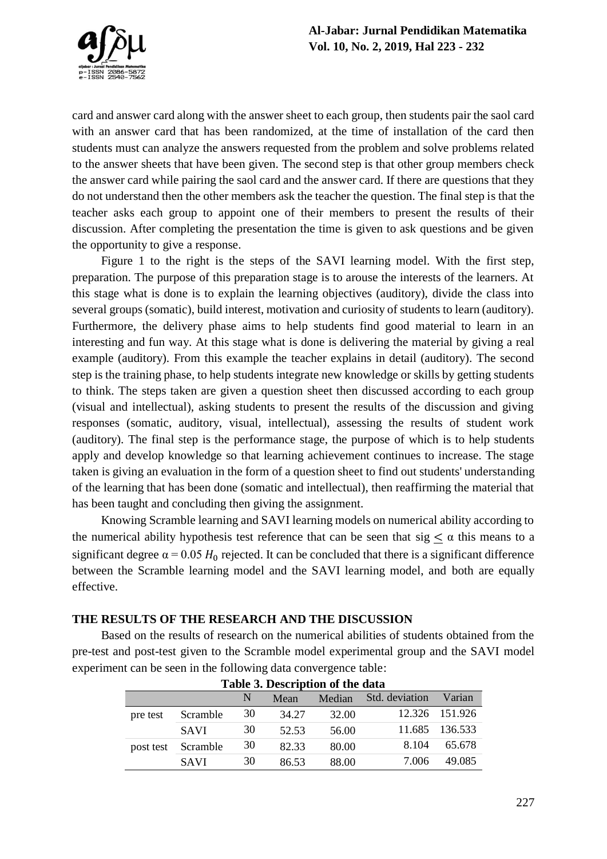

card and answer card along with the answer sheet to each group, then students pair the saol card with an answer card that has been randomized, at the time of installation of the card then students must can analyze the answers requested from the problem and solve problems related to the answer sheets that have been given. The second step is that other group members check the answer card while pairing the saol card and the answer card. If there are questions that they do not understand then the other members ask the teacher the question. The final step is that the teacher asks each group to appoint one of their members to present the results of their discussion. After completing the presentation the time is given to ask questions and be given the opportunity to give a response.

Figure 1 to the right is the steps of the SAVI learning model. With the first step, preparation. The purpose of this preparation stage is to arouse the interests of the learners. At this stage what is done is to explain the learning objectives (auditory), divide the class into several groups (somatic), build interest, motivation and curiosity of students to learn (auditory). Furthermore, the delivery phase aims to help students find good material to learn in an interesting and fun way. At this stage what is done is delivering the material by giving a real example (auditory). From this example the teacher explains in detail (auditory). The second step is the training phase, to help students integrate new knowledge or skills by getting students to think. The steps taken are given a question sheet then discussed according to each group (visual and intellectual), asking students to present the results of the discussion and giving responses (somatic, auditory, visual, intellectual), assessing the results of student work (auditory). The final step is the performance stage, the purpose of which is to help students apply and develop knowledge so that learning achievement continues to increase. The stage taken is giving an evaluation in the form of a question sheet to find out students' understanding of the learning that has been done (somatic and intellectual), then reaffirming the material that has been taught and concluding then giving the assignment.

Knowing Scramble learning and SAVI learning models on numerical ability according to the numerical ability hypothesis test reference that can be seen that sig  $\leq \alpha$  this means to a significant degree  $\alpha$  = 0.05  $H_0$  rejected. It can be concluded that there is a significant difference between the Scramble learning model and the SAVI learning model, and both are equally effective.

**THE RESULTS OF THE RESEARCH AND THE DISCUSSION** 

Based on the results of research on the numerical abilities of students obtained from the pre-test and post-test given to the Scramble model experimental group and the SAVI model experiment can be seen in the following data convergence table:

| Lavic 5. Description of the gata |             |    |       |        |                |                |
|----------------------------------|-------------|----|-------|--------|----------------|----------------|
|                                  |             | N  | Mean  | Median | Std. deviation | Varian         |
| pre test                         | Scramble    | 30 | 34.27 | 32.00  |                | 12.326 151.926 |
|                                  | <b>SAVI</b> | 30 | 52.53 | 56.00  | 11.685         | 136.533        |
| post test                        | Scramble    | 30 | 82.33 | 80.00  | 8.104          | 65.678         |
|                                  | <b>SAVI</b> | 30 | 86.53 | 88.00  | 7.006          | 49.085         |

### **Table 3. Description of the data**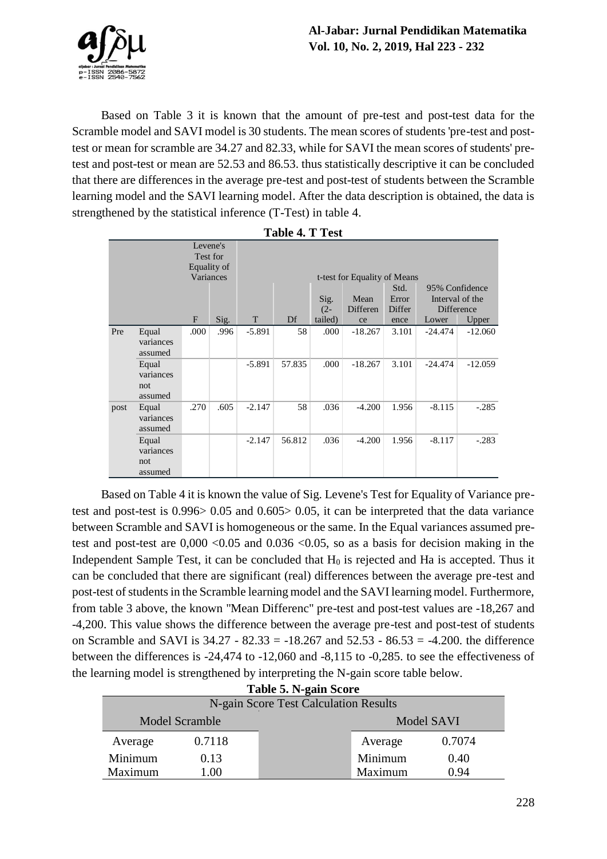

Based on Table 3 it is known that the amount of pre-test and post-test data for the Scramble model and SAVI model is 30 students. The mean scores of students 'pre-test and posttest or mean for scramble are 34.27 and 82.33, while for SAVI the mean scores of students' pretest and post-test or mean are 52.53 and 86.53. thus statistically descriptive it can be concluded that there are differences in the average pre-test and post-test of students between the Scramble learning model and the SAVI learning model. After the data description is obtained, the data is strengthened by the statistical inference (T-Test) in table 4.

|      |                               |      | Levene's<br>Test for<br>Equality of |          |        |         |                              |        |           |                 |
|------|-------------------------------|------|-------------------------------------|----------|--------|---------|------------------------------|--------|-----------|-----------------|
|      |                               |      | Variances                           |          |        |         | t-test for Equality of Means |        |           |                 |
|      |                               |      |                                     |          |        |         |                              | Std.   |           | 95% Confidence  |
|      |                               |      |                                     |          |        | Sig.    | Mean                         | Error  |           | Interval of the |
|      |                               |      |                                     |          |        | $(2 -$  | Differen                     | Differ |           | Difference      |
|      |                               | F    | Sig.                                | T        | Df     | tailed) | ce                           | ence   | Lower     | Upper           |
| Pre  | Equal                         | .000 | .996                                | $-5.891$ | 58     | .000    | $-18.267$                    | 3.101  | $-24.474$ | $-12.060$       |
|      | variances<br>assumed          |      |                                     |          |        |         |                              |        |           |                 |
|      | Equal<br>variances<br>not     |      |                                     | $-5.891$ | 57.835 | .000    | $-18.267$                    | 3.101  | $-24.474$ | $-12.059$       |
|      | assumed                       |      |                                     |          |        |         |                              |        |           |                 |
| post | Equal<br>variances<br>assumed | .270 | .605                                | $-2.147$ | 58     | .036    | $-4.200$                     | 1.956  | $-8.115$  | $-.285$         |
|      | Equal<br>variances<br>not     |      |                                     | $-2.147$ | 56.812 | .036    | $-4.200$                     | 1.956  | $-8.117$  | $-.283$         |
|      | assumed                       |      |                                     |          |        |         |                              |        |           |                 |

**Table 4. T Test**

Based on Table 4 it is known the value of Sig. Levene's Test for Equality of Variance pretest and post-test is 0.996> 0.05 and 0.605> 0.05, it can be interpreted that the data variance between Scramble and SAVI is homogeneous or the same. In the Equal variances assumed pretest and post-test are  $0,000 < 0.05$  and  $0.036 < 0.05$ , so as a basis for decision making in the Independent Sample Test, it can be concluded that  $H_0$  is rejected and Ha is accepted. Thus it can be concluded that there are significant (real) differences between the average pre-test and post-test of students in the Scramble learning model and the SAVI learning model. Furthermore, from table 3 above, the known "Mean Differenc" pre-test and post-test values are -18,267 and -4,200. This value shows the difference between the average pre-test and post-test of students on Scramble and SAVI is  $34.27 - 82.33 = -18.267$  and  $52.53 - 86.53 = -4.200$ . the difference between the differences is -24,474 to -12,060 and -8,115 to -0,285. to see the effectiveness of the learning model is strengthened by interpreting the N-gain score table below.

| Table 5. N-gain Score                 |                       |            |         |        |  |  |
|---------------------------------------|-----------------------|------------|---------|--------|--|--|
| N-gain Score Test Calculation Results |                       |            |         |        |  |  |
|                                       | <b>Model Scramble</b> | Model SAVI |         |        |  |  |
| Average                               | 0.7118                |            | Average | 0.7074 |  |  |
| Minimum                               | 0.13                  |            | Minimum | 0.40   |  |  |
| Maximum                               | 1.00                  |            | Maximum | 0.94   |  |  |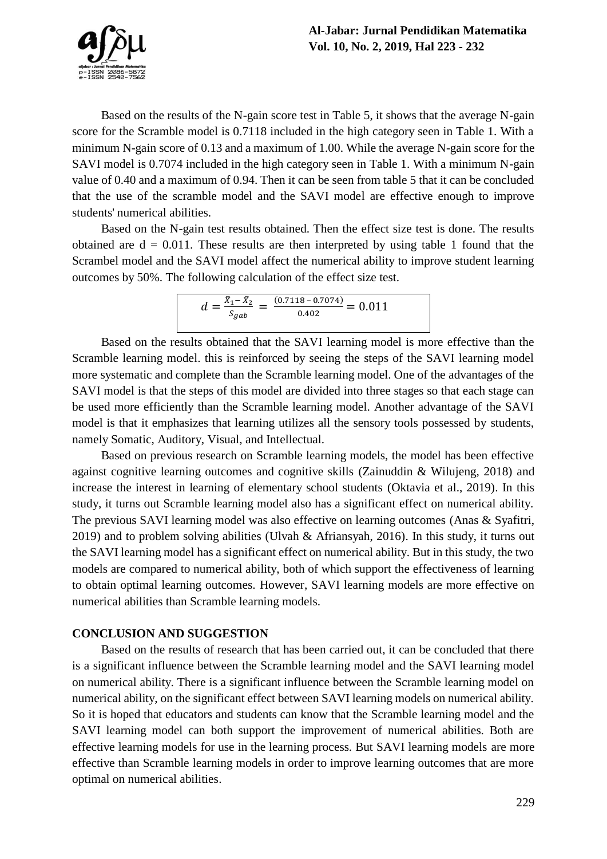

Based on the results of the N-gain score test in Table 5, it shows that the average N-gain score for the Scramble model is 0.7118 included in the high category seen in Table 1. With a minimum N-gain score of 0.13 and a maximum of 1.00. While the average N-gain score for the SAVI model is 0.7074 included in the high category seen in Table 1. With a minimum N-gain value of 0.40 and a maximum of 0.94. Then it can be seen from table 5 that it can be concluded that the use of the scramble model and the SAVI model are effective enough to improve students' numerical abilities.

Based on the N-gain test results obtained. Then the effect size test is done. The results obtained are  $d = 0.011$ . These results are then interpreted by using table 1 found that the Scrambel model and the SAVI model affect the numerical ability to improve student learning outcomes by 50%. The following calculation of the effect size test.

$$
d = \frac{\bar{x}_1 - \bar{x}_2}{S_{gab}} = \frac{(0.7118 - 0.7074)}{0.402} = 0.011
$$

Based on the results obtained that the SAVI learning model is more effective than the Scramble learning model. this is reinforced by seeing the steps of the SAVI learning model more systematic and complete than the Scramble learning model. One of the advantages of the SAVI model is that the steps of this model are divided into three stages so that each stage can be used more efficiently than the Scramble learning model. Another advantage of the SAVI model is that it emphasizes that learning utilizes all the sensory tools possessed by students, namely Somatic, Auditory, Visual, and Intellectual.

Based on previous research on Scramble learning models, the model has been effective against cognitive learning outcomes and cognitive skills (Zainuddin & Wilujeng, 2018) and increase the interest in learning of elementary school students (Oktavia et al., 2019). In this study, it turns out Scramble learning model also has a significant effect on numerical ability. The previous SAVI learning model was also effective on learning outcomes (Anas & Syafitri, 2019) and to problem solving abilities (Ulvah & Afriansyah, 2016). In this study, it turns out the SAVI learning model has a significant effect on numerical ability. But in this study, the two models are compared to numerical ability, both of which support the effectiveness of learning to obtain optimal learning outcomes. However, SAVI learning models are more effective on numerical abilities than Scramble learning models.

#### **CONCLUSION AND SUGGESTION**

Based on the results of research that has been carried out, it can be concluded that there is a significant influence between the Scramble learning model and the SAVI learning model on numerical ability. There is a significant influence between the Scramble learning model on numerical ability, on the significant effect between SAVI learning models on numerical ability. So it is hoped that educators and students can know that the Scramble learning model and the SAVI learning model can both support the improvement of numerical abilities. Both are effective learning models for use in the learning process. But SAVI learning models are more effective than Scramble learning models in order to improve learning outcomes that are more optimal on numerical abilities.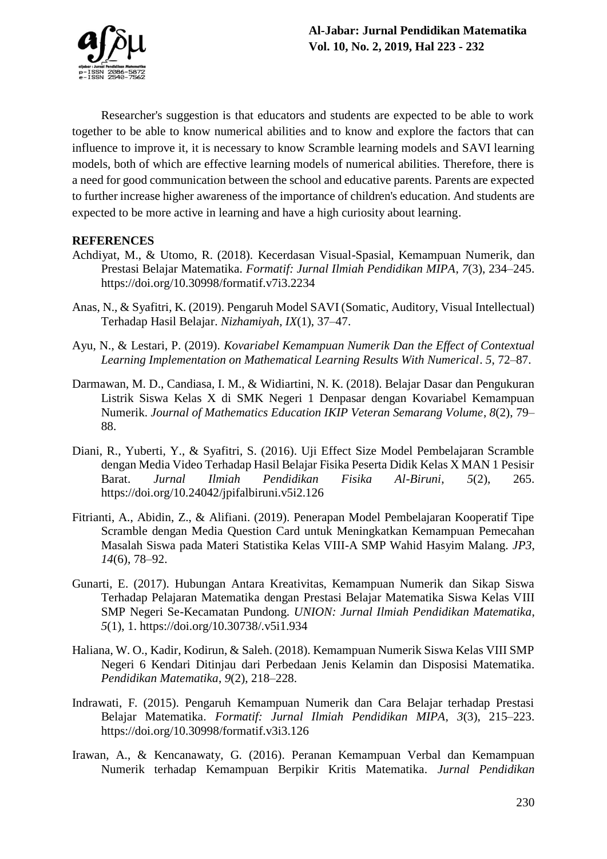

Researcher's suggestion is that educators and students are expected to be able to work together to be able to know numerical abilities and to know and explore the factors that can influence to improve it, it is necessary to know Scramble learning models and SAVI learning models, both of which are effective learning models of numerical abilities. Therefore, there is a need for good communication between the school and educative parents. Parents are expected to further increase higher awareness of the importance of children's education. And students are expected to be more active in learning and have a high curiosity about learning.

# **REFERENCES**

- Achdiyat, M., & Utomo, R. (2018). Kecerdasan Visual-Spasial, Kemampuan Numerik, dan Prestasi Belajar Matematika. *Formatif: Jurnal Ilmiah Pendidikan MIPA*, *7*(3), 234–245. https://doi.org/10.30998/formatif.v7i3.2234
- Anas, N., & Syafitri, K. (2019). Pengaruh Model SAVI (Somatic, Auditory, Visual Intellectual) Terhadap Hasil Belajar. *Nizhamiyah*, *IX*(1), 37–47.
- Ayu, N., & Lestari, P. (2019). *Kovariabel Kemampuan Numerik Dan the Effect of Contextual Learning Implementation on Mathematical Learning Results With Numerical*. *5*, 72–87.
- Darmawan, M. D., Candiasa, I. M., & Widiartini, N. K. (2018). Belajar Dasar dan Pengukuran Listrik Siswa Kelas X di SMK Negeri 1 Denpasar dengan Kovariabel Kemampuan Numerik. *Journal of Mathematics Education IKIP Veteran Semarang Volume*, *8*(2), 79– 88.
- Diani, R., Yuberti, Y., & Syafitri, S. (2016). Uji Effect Size Model Pembelajaran Scramble dengan Media Video Terhadap Hasil Belajar Fisika Peserta Didik Kelas X MAN 1 Pesisir Barat. *Jurnal Ilmiah Pendidikan Fisika Al-Biruni*, *5*(2), 265. https://doi.org/10.24042/jpifalbiruni.v5i2.126
- Fitrianti, A., Abidin, Z., & Alifiani. (2019). Penerapan Model Pembelajaran Kooperatif Tipe Scramble dengan Media Question Card untuk Meningkatkan Kemampuan Pemecahan Masalah Siswa pada Materi Statistika Kelas VIII-A SMP Wahid Hasyim Malang. *JP3*, *14*(6), 78–92.
- Gunarti, E. (2017). Hubungan Antara Kreativitas, Kemampuan Numerik dan Sikap Siswa Terhadap Pelajaran Matematika dengan Prestasi Belajar Matematika Siswa Kelas VIII SMP Negeri Se-Kecamatan Pundong. *UNION: Jurnal Ilmiah Pendidikan Matematika*, *5*(1), 1. https://doi.org/10.30738/.v5i1.934
- Haliana, W. O., Kadir, Kodirun, & Saleh. (2018). Kemampuan Numerik Siswa Kelas VIII SMP Negeri 6 Kendari Ditinjau dari Perbedaan Jenis Kelamin dan Disposisi Matematika. *Pendidikan Matematika*, *9*(2), 218–228.
- Indrawati, F. (2015). Pengaruh Kemampuan Numerik dan Cara Belajar terhadap Prestasi Belajar Matematika. *Formatif: Jurnal Ilmiah Pendidikan MIPA*, *3*(3), 215–223. https://doi.org/10.30998/formatif.v3i3.126
- Irawan, A., & Kencanawaty, G. (2016). Peranan Kemampuan Verbal dan Kemampuan Numerik terhadap Kemampuan Berpikir Kritis Matematika. *Jurnal Pendidikan*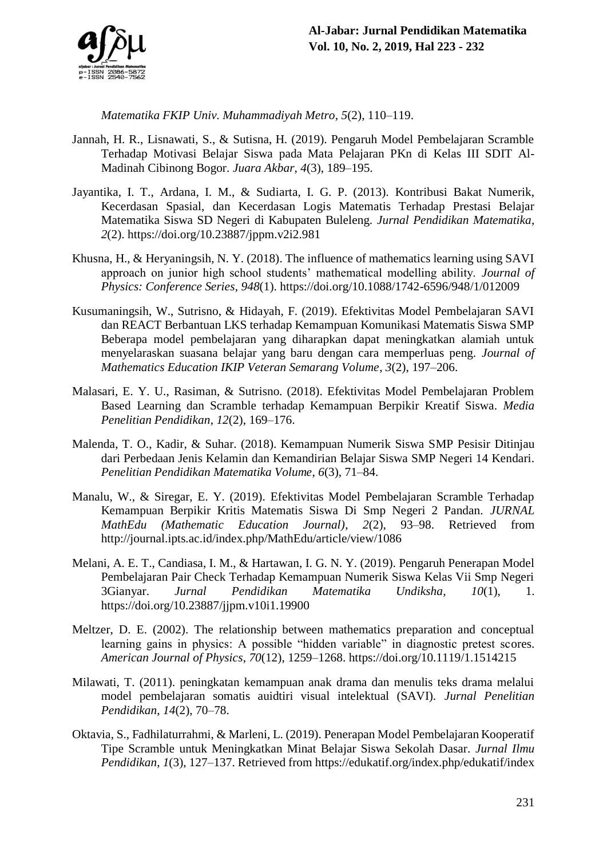

*Matematika FKIP Univ. Muhammadiyah Metro*, *5*(2), 110–119.

- Jannah, H. R., Lisnawati, S., & Sutisna, H. (2019). Pengaruh Model Pembelajaran Scramble Terhadap Motivasi Belajar Siswa pada Mata Pelajaran PKn di Kelas III SDIT Al-Madinah Cibinong Bogor. *Juara Akbar*, *4*(3), 189–195.
- Jayantika, I. T., Ardana, I. M., & Sudiarta, I. G. P. (2013). Kontribusi Bakat Numerik, Kecerdasan Spasial, dan Kecerdasan Logis Matematis Terhadap Prestasi Belajar Matematika Siswa SD Negeri di Kabupaten Buleleng. *Jurnal Pendidikan Matematika*, *2*(2). https://doi.org/10.23887/jppm.v2i2.981
- Khusna, H., & Heryaningsih, N. Y. (2018). The influence of mathematics learning using SAVI approach on junior high school students' mathematical modelling ability. *Journal of Physics: Conference Series*, *948*(1). https://doi.org/10.1088/1742-6596/948/1/012009
- Kusumaningsih, W., Sutrisno, & Hidayah, F. (2019). Efektivitas Model Pembelajaran SAVI dan REACT Berbantuan LKS terhadap Kemampuan Komunikasi Matematis Siswa SMP Beberapa model pembelajaran yang diharapkan dapat meningkatkan alamiah untuk menyelaraskan suasana belajar yang baru dengan cara memperluas peng. *Journal of Mathematics Education IKIP Veteran Semarang Volume*, *3*(2), 197–206.
- Malasari, E. Y. U., Rasiman, & Sutrisno. (2018). Efektivitas Model Pembelajaran Problem Based Learning dan Scramble terhadap Kemampuan Berpikir Kreatif Siswa. *Media Penelitian Pendidikan*, *12*(2), 169–176.
- Malenda, T. O., Kadir, & Suhar. (2018). Kemampuan Numerik Siswa SMP Pesisir Ditinjau dari Perbedaan Jenis Kelamin dan Kemandirian Belajar Siswa SMP Negeri 14 Kendari. *Penelitian Pendidikan Matematika Volume*, *6*(3), 71–84.
- Manalu, W., & Siregar, E. Y. (2019). Efektivitas Model Pembelajaran Scramble Terhadap Kemampuan Berpikir Kritis Matematis Siswa Di Smp Negeri 2 Pandan. *JURNAL MathEdu (Mathematic Education Journal)*, *2*(2), 93–98. Retrieved from http://journal.ipts.ac.id/index.php/MathEdu/article/view/1086
- Melani, A. E. T., Candiasa, I. M., & Hartawan, I. G. N. Y. (2019). Pengaruh Penerapan Model Pembelajaran Pair Check Terhadap Kemampuan Numerik Siswa Kelas Vii Smp Negeri 3Gianyar. *Jurnal Pendidikan Matematika Undiksha*, *10*(1), 1. https://doi.org/10.23887/jjpm.v10i1.19900
- Meltzer, D. E. (2002). The relationship between mathematics preparation and conceptual learning gains in physics: A possible "hidden variable" in diagnostic pretest scores. *American Journal of Physics*, *70*(12), 1259–1268. https://doi.org/10.1119/1.1514215
- Milawati, T. (2011). peningkatan kemampuan anak drama dan menulis teks drama melalui model pembelajaran somatis auidtiri visual intelektual (SAVI). *Jurnal Penelitian Pendidikan*, *14*(2), 70–78.
- Oktavia, S., Fadhilaturrahmi, & Marleni, L. (2019). Penerapan Model Pembelajaran Kooperatif Tipe Scramble untuk Meningkatkan Minat Belajar Siswa Sekolah Dasar. *Jurnal Ilmu Pendidikan*, *1*(3), 127–137. Retrieved from https://edukatif.org/index.php/edukatif/index